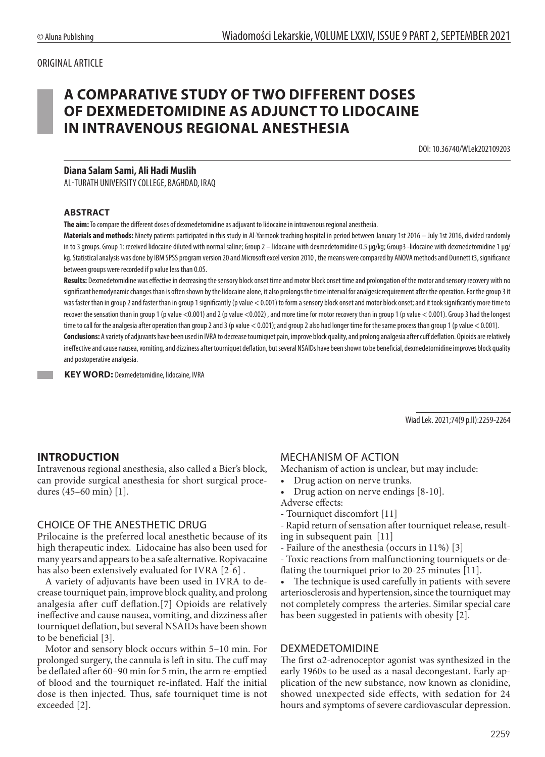# ORIGINAL ARTICLE

# **A COMPARATIVE STUDY OF TWO DIFFERENT DOSES OF DEXMEDETOMIDINE AS ADJUNCT TO LIDOCAINE IN INTRAVENOUS REGIONAL ANESTHESIA**

DOI: 10.36740/WLek202109203

#### **Diana Salam Sami, Ali Hadi Muslih**

AL-TURATH UNIVERSITY COLLEGE, BAGHDAD, IRAQ

#### **ABSTRACT**

**The aim:** To compare the different doses of dexmedetomidine as adjuvant to lidocaine in intravenous regional anesthesia.

**Materials and methods:** Ninety patients participated in this study in Al-Yarmook teaching hospital in period between January 1st 2016 – July 1st 2016, divided randomly in to 3 groups. Group 1: received lidocaine diluted with normal saline; Group 2 – lidocaine with dexmedetomidine 0.5 µg/kg; Group3 -lidocaine with dexmedetomidine 1 µg/ kg. Statistical analysis was done by IBM SPSS program version 20 and Microsoft excel version 2010, the means were compared by ANOVA methods and Dunnett t3, significance between groups were recorded if p value less than 0.05.

Results: Dexmedetomidine was effective in decreasing the sensory block onset time and motor block onset time and prolongation of the motor and sensory recovery with no significant hemodynamic changes than is often shown by the lidocaine alone, it also prolongs the time interval for analgesic requirement after the operation. For the group 3 it was faster than in group 2 and faster than in group 1 significantly (p value < 0.001) to form a sensory block onset and motor block onset; and it took significantly more time to recover the sensation than in group 1 (p value <0.001) and 2 (p value <0.002), and more time for motor recovery than in group 1 (p value <0.001). Group 3 had the longest time to call for the analgesia after operation than group 2 and 3 (p value < 0.001); and group 2 also had longer time for the same process than group 1 (p value < 0.001). **Conclusions:** A variety of adjuvants have been used in IVRA to decrease tourniquet pain, improve block quality, and prolong analgesia after cuff deflation. Opioids are relatively ineffective and cause nausea, vomiting, and dizziness after tourniquet deflation, but several NSAIDs have been shown to be beneficial, dexmedetomidine improves block quality

and postoperative analgesia. **KEY WORD:** Dexmedetomidine, lidocaine, IVRA

Wiad Lek. 2021;74(9 p.II):2259-2264

### **INTRODUCTION**

Intravenous regional anesthesia, also called a Bier's block, can provide surgical anesthesia for short surgical procedures (45–60 min) [1].

#### CHOICE OF THE ANESTHETIC DRUG

Prilocaine is the preferred local anesthetic because of its high therapeutic index. Lidocaine has also been used for many years and appears to be a safe alternative. Ropivacaine has also been extensively evaluated for IVRA [2-6] .

A variety of adjuvants have been used in IVRA to decrease tourniquet pain, improve block quality, and prolong analgesia after cuff deflation.[7] Opioids are relatively ineffective and cause nausea, vomiting, and dizziness after tourniquet deflation, but several NSAIDs have been shown to be beneficial [3].

Motor and sensory block occurs within 5–10 min. For prolonged surgery, the cannula is left in situ. The cuff may be deflated after 60–90 min for 5 min, the arm re-emptied of blood and the tourniquet re-inflated. Half the initial dose is then injected. Thus, safe tourniquet time is not exceeded [2].

## MECHANISM OF ACTION

Mechanism of action is unclear, but may include:

- Drug action on nerve trunks.
- Drug action on nerve endings [8-10].

Adverse effects:

- Tourniquet discomfort [11]
- Rapid return of sensation after tourniquet release, resulting in subsequent pain [11]
- Failure of the anesthesia (occurs in 11%) [3]
- Toxic reactions from malfunctioning tourniquets or deflating the tourniquet prior to 20-25 minutes [11].
- The technique is used carefully in patients with severe arteriosclerosis and hypertension, since the tourniquet may not completely compress the arteries. Similar special care has been suggested in patients with obesity [2].

#### DEXMEDETOMIDINE

The first α2-adrenoceptor agonist was synthesized in the early 1960s to be used as a nasal decongestant. Early application of the new substance, now known as clonidine, showed unexpected side effects, with sedation for 24 hours and symptoms of severe cardiovascular depression.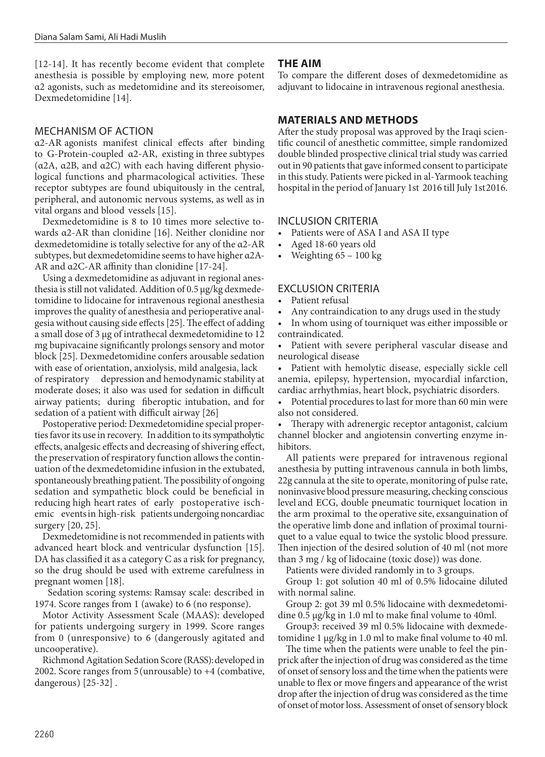[12-14]. It has recently become evident that complete anesthesia is possible by employing new, more potent α2 agonists, such as medetomidine and its stereoisomer, Dexmedetomidine [14].

# MECHANISM OF ACTION

α2-AR agonists manifest clinical effects after binding to G-Protein-coupled α2-AR, existing in three subtypes (α2A, α2B, and α2C) with each having different physiological functions and pharmacological activities. These receptor subtypes are found ubiquitously in the central, peripheral, and autonomic nervous systems, as well as in vital organs and blood vessels [15].

Dexmedetomidine is 8 to 10 times more selective towards α2-AR than clonidine [16]. Neither clonidine nor dexmedetomidine is totally selective for any of the α2-AR subtypes, but dexmedetomidine seems to have higher α2A-AR and α2C-AR affinity than clonidine [17-24].

Using a dexmedetomidine as adjuvant in regional anesthesia is still not validated. Addition of 0.5 µg/kg dexmedetomidine to lidocaine for intravenous regional anesthesia improves the quality of anesthesia and perioperative analgesia without causing side effects [25]. The effect of adding a small dose of 3 µg of intrathecal dexmedetomidine to 12 mg bupivacaine significantly prolongs sensory and motor block [25]. Dexmedetomidine confers arousable sedation with ease of orientation, anxiolysis, mild analgesia, lack of respiratory depression and hemodynamic stability at moderate doses; it also was used for sedation in difficult airway patients; during fiberoptic intubation, and for sedation of a patient with difficult airway [26]

Postoperative period: Dexmedetomidine special properties favor its use in recovery. In addition to its sympatholytic effects, analgesic effects and decreasing of shivering effect, the preservation of respiratory function allows the continuation of the dexmedetomidine infusion in the extubated, spontaneously breathing patient. The possibility of ongoing sedation and sympathetic block could be beneficial in reducing high heart rates of early postoperative ischemic eventsin high-risk patients undergoing noncardiac surgery [20, 25].

Dexmedetomidine is not recommended in patients with advanced heart block and ventricular dysfunction [15]. DA has classified it as a category C as a risk for pregnancy, so the drug should be used with extreme carefulness in pregnant women [18].

Sedation scoring systems: Ramsay scale: described in 1974. Score ranges from 1 (awake) to 6 (no response).

Motor Activity Assessment Scale (MAAS): developed for patients undergoing surgery in 1999. Score ranges from 0 (unresponsive) to 6 (dangerously agitated and uncooperative).

Richmond Agitation Sedation Score (RASS): developed in 2002. Score ranges from 5 (unrousable) to +4 (combative, dangerous ) [25-32] .

# **THE AIM**

To compare the different doses of dexmedetomidine as adjuvant to lidocaine in intravenous regional anesthesia.

# **MATERIALS AND METHODS**

After the study proposal was approved by the Iraqi scientific council of anesthetic committee, simple randomized double blinded prospective clinical trial study was carried out in 90 patients that gave informed consent to participate in this study. Patients were picked in al-Yarmook teaching hospital in the period of January 1st 2016 till July 1st 2016.

# INCLUSION CRITERIA

- Patients were of ASA I and ASA II type
- Aged 18-60 years old
- Weighting 65 100 kg

# EXCLUSION CRITERIA

- Patient refusal
- Any contraindication to any drugs used in the study

• In whom using of tourniquet was either impossible or contraindicated.

• Patient with severe peripheral vascular disease and neurological disease

• Patient with hemolytic disease, especially sickle cell anemia, epilepsy, hypertension, myocardial infarction, cardiac arrhythmias, heart block, psychiatric disorders.

Potential procedures to last for more than 60 min were also not considered.

• Therapy with adrenergic receptor antagonist, calcium channel blocker and angiotensin converting enzyme inhibitors.

All patients were prepared for intravenous regional anesthesia by putting intravenous cannula in both limbs, 22g cannula at the site to operate, monitoring of pulse rate, noninvasive blood pressure measuring, checking conscious level and ECG, double pneumatic tourniquet location in the arm proximal to the operative site, exsanguination of the operative limb done and inflation of proximal tourniquet to a value equal to twice the systolic blood pressure. Then injection of the desired solution of 40 ml (not more than 3 mg / kg of lidocaine (toxic dose)) was done.

Patients were divided randomly in to 3 groups.

Group 1: got solution 40 ml of 0.5% lidocaine diluted with normal saline.

Group 2: got 39 ml 0.5% lidocaine with dexmedetomidine 0.5 µg/kg in 1.0 ml to make final volume to 40ml.

Group3: received 39 ml 0.5% lidocaine with dexmedetomidine 1 µg/kg in 1.0 ml to make final volume to 40 ml.

The time when the patients were unable to feel the pinprick after the injection of drug was considered as the time of onset of sensory loss and the time when the patients were unable to flex or move fingers and appearance of the wrist drop after the injection of drug was considered as the time of onset of motor loss. Assessment of onset of sensory block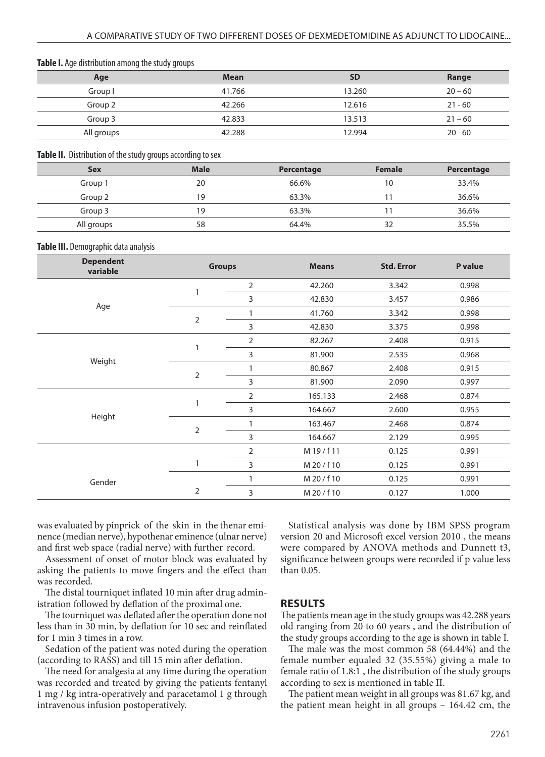| <b>Table 1.</b> Age distribution among the study groups |             |           |           |  |  |
|---------------------------------------------------------|-------------|-----------|-----------|--|--|
| Age                                                     | <b>Mean</b> | <b>SD</b> | Range     |  |  |
| Group I                                                 | 41.766      | 13.260    | $20 - 60$ |  |  |
| Group 2                                                 | 42.266      | 12.616    | $21 - 60$ |  |  |
| Group 3                                                 | 42.833      | 13.513    | $21 - 60$ |  |  |
| All groups                                              | 42.288      | 12.994    | $20 - 60$ |  |  |

#### **Table I.** Age distribution among the study groups

#### **Table II.** Distribution of the study groups according to sex

| <b>Sex</b> | <b>Male</b> | Percentage | <b>Female</b> | Percentage |
|------------|-------------|------------|---------------|------------|
| Group 1    | 20          | 66.6%      | 10            | 33.4%      |
| Group 2    | 19          | 63.3%      |               | 36.6%      |
| Group 3    | 9           | 63.3%      |               | 36.6%      |
| All groups | 58          | 64.4%      | 32            | 35.5%      |

#### **Table III.** Demographic data analysis

| <b>Dependent</b><br>variable | <b>Groups</b>  |   | <b>Means</b> | <b>Std. Error</b> | P value |
|------------------------------|----------------|---|--------------|-------------------|---------|
|                              |                | 2 | 42.260       | 3.342             | 0.998   |
|                              |                | 3 | 42.830       | 3.457             | 0.986   |
| Age                          |                |   | 41.760       | 3.342             | 0.998   |
|                              | 2              | 3 | 42.830       | 3.375             | 0.998   |
|                              |                | 2 | 82.267       | 2.408             | 0.915   |
|                              |                | 3 | 81.900       | 2.535             | 0.968   |
| Weight                       |                |   | 80.867       | 2.408             | 0.915   |
|                              | $\overline{2}$ | 3 | 81.900       | 2.090             | 0.997   |
|                              |                | 2 | 165.133      | 2.468             | 0.874   |
|                              |                | 3 | 164.667      | 2.600             | 0.955   |
| Height                       |                |   | 163.467      | 2.468             | 0.874   |
|                              | 2              | 3 | 164.667      | 2.129             | 0.995   |
|                              |                | 2 | M 19/f 11    | 0.125             | 0.991   |
|                              | 1              | 3 | M 20/f 10    | 0.125             | 0.991   |
| Gender                       |                |   | M 20/f 10    | 0.125             | 0.991   |
|                              | $\overline{2}$ | 3 | M 20/f 10    | 0.127             | 1.000   |

was evaluated by pinprick of the skin in the thenar eminence (median nerve), hypothenar eminence (ulnar nerve) and first web space (radial nerve) with further record.

Assessment of onset of motor block was evaluated by asking the patients to move fingers and the effect than was recorded.

The distal tourniquet inflated 10 min after drug administration followed by deflation of the proximal one.

The tourniquet was deflated after the operation done not less than in 30 min, by deflation for 10 sec and reinflated for 1 min 3 times in a row.

Sedation of the patient was noted during the operation (according to RASS) and till 15 min after deflation.

The need for analgesia at any time during the operation was recorded and treated by giving the patients fentanyl 1 mg / kg intra-operatively and paracetamol 1 g through intravenous infusion postoperatively.

Statistical analysis was done by IBM SPSS program version 20 and Microsoft excel version 2010 , the means were compared by ANOVA methods and Dunnett t3, significance between groups were recorded if p value less than 0.05.

#### **RESULTS**

The patients mean age in the study groups was 42.288 years old ranging from 20 to 60 years , and the distribution of the study groups according to the age is shown in table I.

The male was the most common 58 (64.44%) and the female number equaled 32 (35.55%) giving a male to female ratio of 1.8:1 , the distribution of the study groups according to sex is mentioned in table II.

The patient mean weight in all groups was 81.67 kg, and the patient mean height in all groups – 164.42 cm, the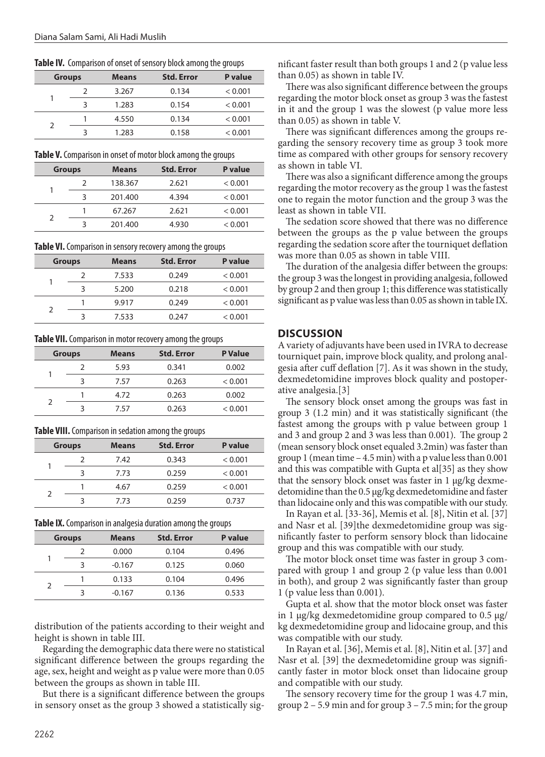**Table IV.** Comparison of onset of sensory block among the groups

| <b>Groups</b> | <b>Means</b> | <b>Std. Error</b> | <b>P</b> value |
|---------------|--------------|-------------------|----------------|
|               | 3.267        | 0.134             | < 0.001        |
|               | 1.283        | 0.154             | < 0.001        |
|               | 4.550        | 0.134             | < 0.001        |
|               | 1.283        | 0.158             | < 0.001        |

**Table V.** Comparison in onset of motor block among the groups

| <b>Groups</b> | <b>Means</b> | <b>Std. Error</b> | P value |
|---------------|--------------|-------------------|---------|
|               | 138.367      | 2.621             | < 0.001 |
|               | 201.400      | 4.394             | < 0.001 |
|               | 67.267       | 2.621             | < 0.001 |
|               | 201.400      | 4.930             | < 0.001 |

**Table VI.** Comparison in sensory recovery among the groups

|   | <b>Groups</b> | <b>Means</b> | <b>Std. Error</b> | P value |
|---|---------------|--------------|-------------------|---------|
|   |               | 7.533        | 0.249             | < 0.001 |
|   |               | 5.200        | 0.218             | < 0.001 |
| っ |               | 9.917        | 0.249             | < 0.001 |
|   |               | 7.533        | 0.247             | < 0.001 |

**Table VII.** Comparison in motor recovery among the groups

| <b>Groups</b> | <b>Means</b> | <b>Std. Error</b> | <b>P</b> Value |
|---------------|--------------|-------------------|----------------|
|               | 5.93         | 0.341             | 0.002          |
|               | 7.57         | 0.263             | < 0.001        |
|               | 4.72         | 0.263             | 0.002          |
|               | 7.57         | 0.263             | < 0.001        |

**Table VIII.** Comparison in sedation among the groups

| <b>Groups</b> | <b>Means</b> | <b>Std. Error</b> | P value |
|---------------|--------------|-------------------|---------|
|               | 7.42         | 0.343             | < 0.001 |
|               | 7.73         | 0.259             | < 0.001 |
|               | 4.67         | 0.259             | < 0.001 |
|               | 7.73         | 0.259             | 0.737   |

**Table IX.** Comparison in analgesia duration among the groups

| <b>Groups</b> | <b>Means</b> | <b>Std. Error</b> | P value |
|---------------|--------------|-------------------|---------|
|               | 0.000        | 0.104             | 0.496   |
|               | $-0.167$     | 0.125             | 0.060   |
|               | 0.133        | 0.104             | 0.496   |
|               | $-0.167$     | 0.136             | 0.533   |

distribution of the patients according to their weight and height is shown in table III.

Regarding the demographic data there were no statistical significant difference between the groups regarding the age, sex, height and weight as p value were more than 0.05 between the groups as shown in table III.

But there is a significant difference between the groups in sensory onset as the group 3 showed a statistically significant faster result than both groups 1 and 2 (p value less than 0.05) as shown in table IV.

There was also significant difference between the groups regarding the motor block onset as group 3 was the fastest in it and the group 1 was the slowest (p value more less than 0.05) as shown in table V.

There was significant differences among the groups regarding the sensory recovery time as group 3 took more time as compared with other groups for sensory recovery as shown in table VI.

There was also a significant difference among the groups regarding the motor recovery as the group 1 was the fastest one to regain the motor function and the group 3 was the least as shown in table VII.

The sedation score showed that there was no difference between the groups as the p value between the groups regarding the sedation score after the tourniquet deflation was more than 0.05 as shown in table VIII.

The duration of the analgesia differ between the groups: the group 3 was the longest in providing analgesia, followed by group 2 and then group 1; this difference was statistically significant as p value was less than 0.05 as shown in table IX.

#### **DISCUSSION**

A variety of adjuvants have been used in IVRA to decrease tourniquet pain, improve block quality, and prolong analgesia after cuff deflation [7]. As it was shown in the study, dexmedetomidine improves block quality and postoperative analgesia.[3]

The sensory block onset among the groups was fast in group 3 (1.2 min) and it was statistically significant (the fastest among the groups with p value between group 1 and 3 and group 2 and 3 was less than 0.001). The group 2 (mean sensory block onset equaled 3.2min) was faster than group 1 (mean time – 4.5 min) with a p value less than 0.001 and this was compatible with Gupta et al[35] as they show that the sensory block onset was faster in 1 µg/kg dexmedetomidine than the 0.5 µg/kg dexmedetomidine and faster than lidocaine only and this was compatible with our study.

In Rayan et al. [33-36], Memis et al. [8], Nitin et al. [37] and Nasr et al. [39]the dexmedetomidine group was significantly faster to perform sensory block than lidocaine group and this was compatible with our study.

The motor block onset time was faster in group 3 compared with group 1 and group 2 (p value less than 0.001 in both), and group 2 was significantly faster than group 1 (p value less than 0.001).

Gupta et al. show that the motor block onset was faster in 1  $\mu$ g/kg dexmedetomidine group compared to 0.5  $\mu$ g/ kg dexmedetomidine group and lidocaine group, and this was compatible with our study.

In Rayan et al. [36], Memis et al. [8], Nitin et al. [37] and Nasr et al. [39] the dexmedetomidine group was significantly faster in motor block onset than lidocaine group and compatible with our study.

The sensory recovery time for the group 1 was 4.7 min, group  $2 - 5.9$  min and for group  $3 - 7.5$  min; for the group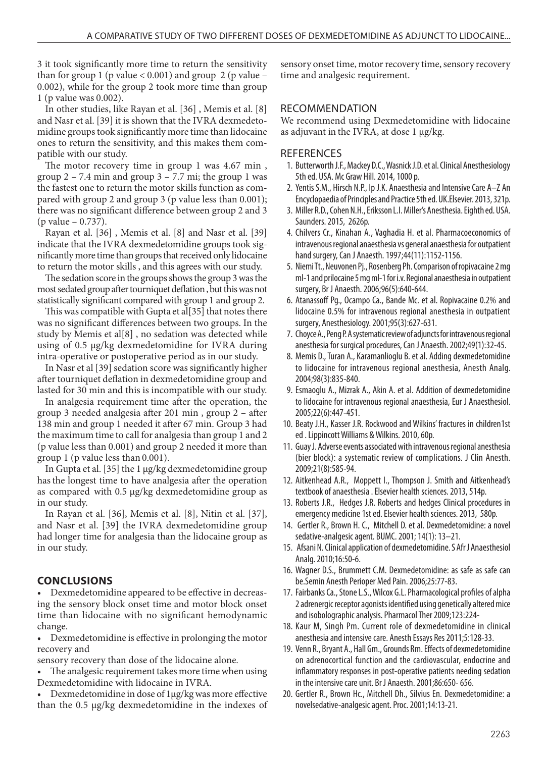3 it took significantly more time to return the sensitivity than for group 1 (p value  $< 0.001$ ) and group 2 (p value – 0.002), while for the group 2 took more time than group 1 (p value was 0.002).

In other studies, like Rayan et al. [36] , Memis et al. [8] and Nasr et al. [39] it is shown that the IVRA dexmedetomidine groups took significantly more time than lidocaine ones to return the sensitivity, and this makes them compatible with our study.

The motor recovery time in group 1 was 4.67 min, group  $2 - 7.4$  min and group  $3 - 7.7$  mi; the group 1 was the fastest one to return the motor skills function as compared with group 2 and group 3 (p value less than 0.001); there was no significant difference between group 2 and 3 (p value – 0.737).

Rayan et al. [36] , Memis et al. [8] and Nasr et al. [39] indicate that the IVRA dexmedetomidine groups took significantly more time than groups that received only lidocaine to return the motor skills , and this agrees with our study.

The sedation score in the groups shows the group 3 was the most sedated group after tourniquet deflation , but this was not statistically significant compared with group 1 and group 2.

This was compatible with Gupta et al[35] that notes there was no significant differences between two groups. In the study by Memis et al[8] , no sedation was detected while using of 0.5 µg/kg dexmedetomidine for IVRA during intra-operative or postoperative period as in our study.

In Nasr et al [39] sedation score was significantly higher after tourniquet deflation in dexmedetomidine group and lasted for 30 min and this is incompatible with our study.

In analgesia requirement time after the operation, the group 3 needed analgesia after 201 min , group 2 – after 138 min and group 1 needed it after 67 min. Group 3 had the maximum time to call for analgesia than group 1 and 2 (p value less than 0.001) and group 2 needed it more than group 1 (p value less than 0.001).

In Gupta et al. [35] the 1 µg/kg dexmedetomidine group has the longest time to have analgesia after the operation as compared with 0.5 µg/kg dexmedetomidine group as in our study.

In Rayan et al. [36], Memis et al. [8], Nitin et al. [37], and Nasr et al. [39] the IVRA dexmedetomidine group had longer time for analgesia than the lidocaine group as in our study.

# **CONCLUSIONS**

• Dexmedetomidine appeared to be effective in decreasing the sensory block onset time and motor block onset time than lidocaine with no significant hemodynamic change.

• Dexmedetomidine is effective in prolonging the motor recovery and

sensory recovery than dose of the lidocaine alone.

The analgesic requirement takes more time when using Dexmedetomidine with lidocaine in IVRA.

• Dexmedetomidine in dose of 1µg/kg was more effective than the 0.5 µg/kg dexmedetomidine in the indexes of sensory onset time, motor recovery time, sensory recovery time and analgesic requirement.

# RECOMMENDATION

We recommend using Dexmedetomidine with lidocaine as adjuvant in the IVRA, at dose 1 µg/kg.

### **REFERENCES**

- 1. Butterworth J.F., Mackey D.C., Wasnick J.D. et al. Clinical Anesthesiology 5th ed. USA. Mc Graw Hill. 2014, 1000 p.
- 2. Yentis S.M., Hirsch N.P., Ip J.K. Anaesthesia and Intensive Care A–Z An Encyclopaedia of Principles and Practice 5th ed. UK.Elsevier. 2013, 321p.
- 3. Miller R.D., Cohen N.H., Eriksson L.I. Miller's Anesthesia. Eighth ed. USA. Saunders. 2015, 2626p.
- 4. Chilvers Cr., Kinahan A., Vaghadia H. et al. Pharmacoeconomics of intravenous regional anaesthesia vs general anaesthesia for outpatient hand surgery, Can J Anaesth. 1997;44(11):1152-1156.
- 5. Niemi Tt., Neuvonen Pj., Rosenberg Ph. Comparison of ropivacaine 2 mg ml-1 and prilocaine 5 mg ml-1 for i.v. Regional anaesthesia in outpatient surgery, Br J Anaesth. 2006;96(5):640-644.
- 6. Atanassoff Pg., Ocampo Ca., Bande Mc. et al. Ropivacaine 0.2% and lidocaine 0.5% for intravenous regional anesthesia in outpatient surgery, Anesthesiology. 2001;95(3):627-631.
- 7. Choyce A., Peng P. A systematic review of adjuncts for intravenous regional anesthesia for surgical procedures, Can J Anaesth. 2002;49(1):32-45.
- 8. Memis D., Turan A., Karamanlioglu B. et al. Adding dexmedetomidine to lidocaine for intravenous regional anesthesia, Anesth Analg. 2004;98(3):835-840.
- 9. Esmaoglu A., Mizrak A., Akin A. et al. Addition of dexmedetomidine to lidocaine for intravenous regional anaesthesia, Eur J Anaesthesiol. 2005;22(6):447-451.
- 10. Beaty J.H., Kasser J.R. Rockwood and Wilkins' fractures in children1st ed . Lippincott Williams & Wilkins. 2010, 60p.
- 11. Guay J. Adverse events associated with intravenous regional anesthesia (bier block): a systematic review of complications. J Clin Anesth. 2009;21(8):585-94.
- 12. Aitkenhead A.R., Moppett I., Thompson J. Smith and Aitkenhead's textbook of anaesthesia . Elsevier health sciences. 2013, 514p.
- 13. Roberts J.R., Hedges J.R. Roberts and hedges Clinical procedures in emergency medicine 1st ed. Elsevier health sciences. 2013, 580p.
- 14. Gertler R., Brown H. C., Mitchell D. et al. Dexmedetomidine: a novel sedative-analgesic agent. BUMC. 2001; 14(1): 13–21.
- 15. Afsani N. Clinical application of dexmedetomidine. S Afr J Anaesthesiol Analg. 2010;16:50-6.
- 16. Wagner D.S., Brummett C.M. Dexmedetomidine: as safe as safe can be.Semin Anesth Perioper Med Pain. 2006;25:77-83.
- 17. Fairbanks Ca., Stone L.S., Wilcox G.L. Pharmacological profiles of alpha 2 adrenergic receptor agonists identified using genetically altered mice and isobolographic analysis. Pharmacol Ther 2009;123:224-
- 18. Kaur M, Singh Pm. Current role of dexmedetomidine in clinical anesthesia and intensive care. Anesth Essays Res 2011;5:128-33.
- 19. Venn R., Bryant A., Hall Gm., Grounds Rm. Effects of dexmedetomidine on adrenocortical function and the cardiovascular, endocrine and inflammatory responses in post-operative patients needing sedation in the intensive care unit. Br J Anaesth. 2001;86:650- 656.
- 20. Gertler R., Brown Hc., Mitchell Dh., Silvius En. Dexmedetomidine: a novelsedative-analgesic agent. Proc. 2001;14:13-21.